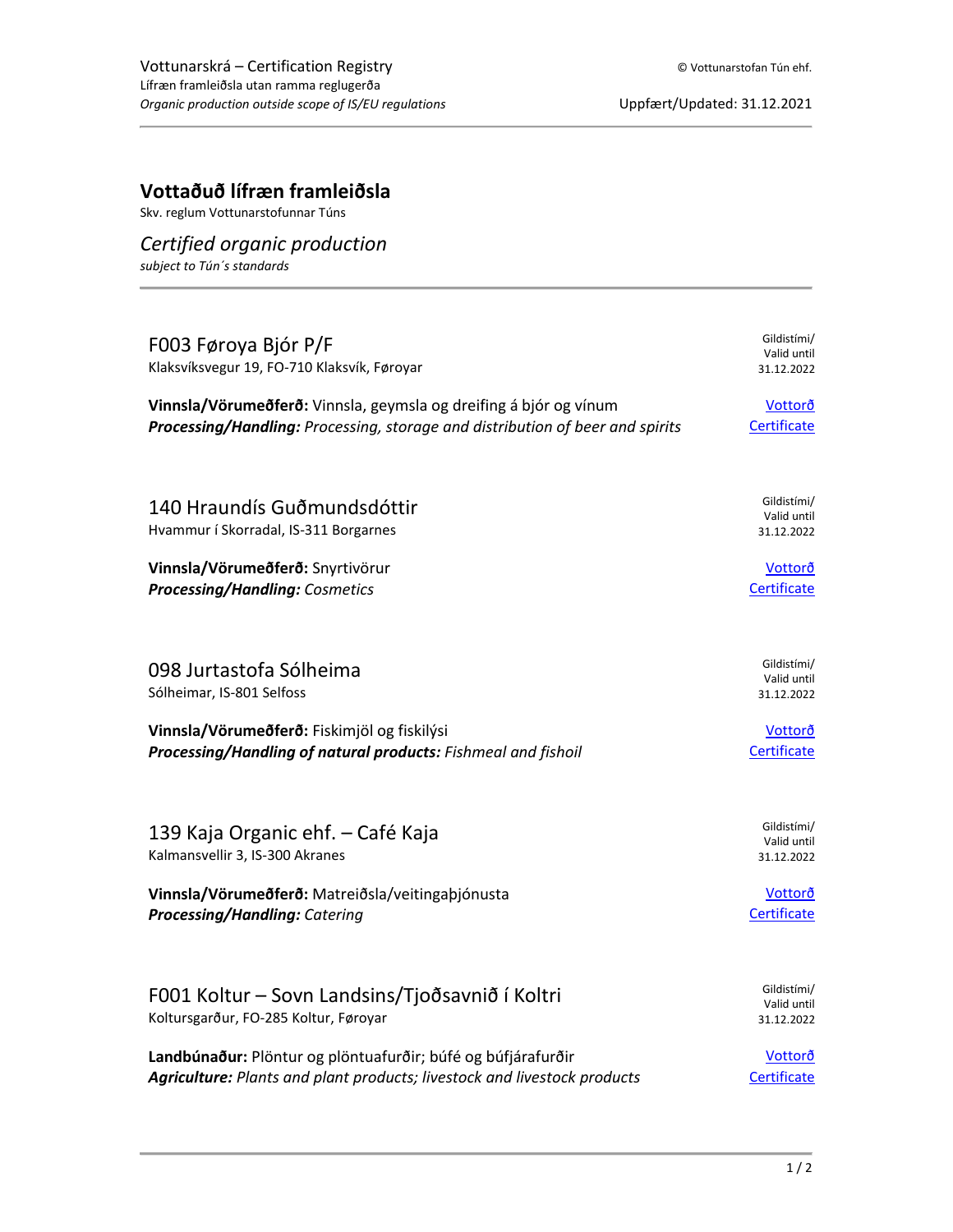## **Vottaðuð lífræn framleiðsla**

Skv. reglum Vottunarstofunnar Túns

## *Certified organic production*

*subject to Tún´s standards*

| F003 Føroya Bjór P/F<br>Klaksvíksvegur 19, FO-710 Klaksvík, Føroyar                      | Gildistími/<br>Valid until<br>31.12.2022 |
|------------------------------------------------------------------------------------------|------------------------------------------|
| Vinnsla/Vörumeðferð: Vinnsla, geymsla og dreifing á bjór og vínum                        | Vottorð                                  |
| Processing/Handling: Processing, storage and distribution of beer and spirits            | Certificate                              |
| 140 Hraundís Guðmundsdóttir<br>Hvammur í Skorradal, IS-311 Borgarnes                     | Gildistími/<br>Valid until<br>31.12.2022 |
| Vinnsla/Vörumeðferð: Snyrtivörur                                                         | Vottorð                                  |
| <b>Processing/Handling: Cosmetics</b>                                                    | Certificate                              |
| 098 Jurtastofa Sólheima<br>Sólheimar, IS-801 Selfoss                                     | Gildistími/<br>Valid until<br>31.12.2022 |
| Vinnsla/Vörumeðferð: Fiskimjöl og fiskilýsi                                              | Vottorð                                  |
| Processing/Handling of natural products: Fishmeal and fishoil                            | Certificate                              |
| 139 Kaja Organic ehf. – Café Kaja<br>Kalmansvellir 3, IS-300 Akranes                     | Gildistími/<br>Valid until<br>31.12.2022 |
| Vinnsla/Vörumeðferð: Matreiðsla/veitingaþjónusta                                         | Vottorð                                  |
| <b>Processing/Handling: Catering</b>                                                     | Certificate                              |
| F001 Koltur – Sovn Landsins/Tjoðsavnið í Koltri<br>Koltursgarður, FO-285 Koltur, Føroyar | Gildistími/<br>Valid until<br>31.12.2022 |
| Landbúnaður: Plöntur og plöntuafurðir; búfé og búfjárafurðir                             | Vottorð                                  |
| Agriculture: Plants and plant products; livestock and livestock products                 | Certificate                              |